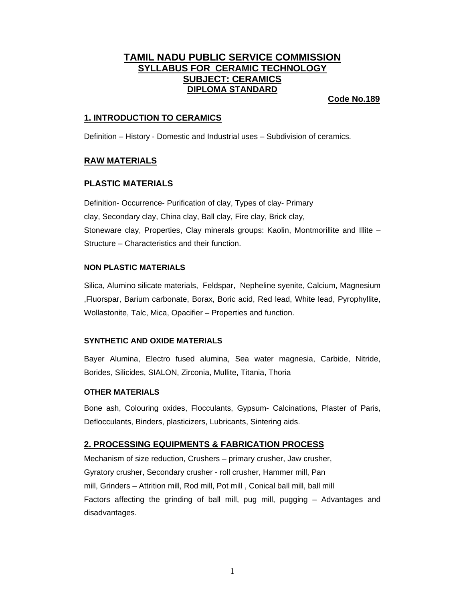# **TAMIL NADU PUBLIC SERVICE COMMISSION SYLLABUS FOR CERAMIC TECHNOLOGY SUBJECT: CERAMICS DIPLOMA STANDARD**

# **Code No.189**

# **1. INTRODUCTION TO CERAMICS**

Definition – History - Domestic and Industrial uses – Subdivision of ceramics.

# **RAW MATERIALS**

# **PLASTIC MATERIALS**

Definition- Occurrence- Purification of clay, Types of clay- Primary clay, Secondary clay, China clay, Ball clay, Fire clay, Brick clay, Stoneware clay, Properties, Clay minerals groups: Kaolin, Montmorillite and Illite – Structure – Characteristics and their function.

# **NON PLASTIC MATERIALS**

Silica, Alumino silicate materials, Feldspar, Nepheline syenite, Calcium, Magnesium ,Fluorspar, Barium carbonate, Borax, Boric acid, Red lead, White lead, Pyrophyllite, Wollastonite, Talc, Mica, Opacifier – Properties and function.

# **SYNTHETIC AND OXIDE MATERIALS**

Bayer Alumina, Electro fused alumina, Sea water magnesia, Carbide, Nitride, Borides, Silicides, SIALON, Zirconia, Mullite, Titania, Thoria

# **OTHER MATERIALS**

Bone ash, Colouring oxides, Flocculants, Gypsum- Calcinations, Plaster of Paris, Deflocculants, Binders, plasticizers, Lubricants, Sintering aids.

# **2. PROCESSING EQUIPMENTS & FABRICATION PROCESS**

Mechanism of size reduction, Crushers – primary crusher, Jaw crusher, Gyratory crusher, Secondary crusher - roll crusher, Hammer mill, Pan mill, Grinders – Attrition mill, Rod mill, Pot mill , Conical ball mill, ball mill Factors affecting the grinding of ball mill, pug mill, pugging – Advantages and disadvantages.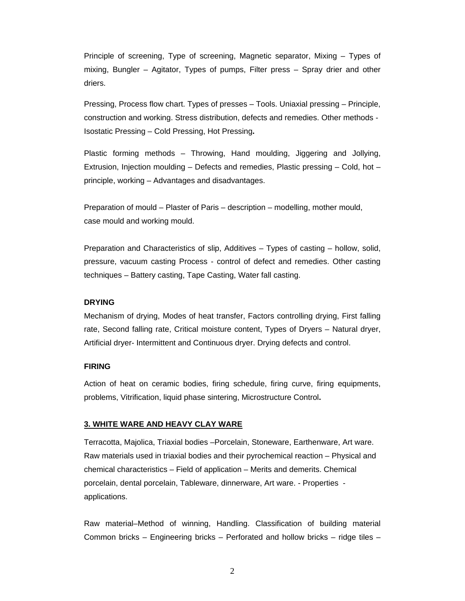Principle of screening, Type of screening, Magnetic separator, Mixing – Types of mixing, Bungler – Agitator, Types of pumps, Filter press – Spray drier and other driers.

Pressing, Process flow chart. Types of presses – Tools. Uniaxial pressing – Principle, construction and working. Stress distribution, defects and remedies. Other methods - Isostatic Pressing – Cold Pressing, Hot Pressing**.** 

Plastic forming methods – Throwing, Hand moulding, Jiggering and Jollying, Extrusion, Injection moulding – Defects and remedies, Plastic pressing – Cold, hot – principle, working – Advantages and disadvantages.

Preparation of mould – Plaster of Paris – description – modelling, mother mould, case mould and working mould.

Preparation and Characteristics of slip, Additives – Types of casting – hollow, solid, pressure, vacuum casting Process - control of defect and remedies. Other casting techniques – Battery casting, Tape Casting, Water fall casting.

#### **DRYING**

Mechanism of drying, Modes of heat transfer, Factors controlling drying, First falling rate, Second falling rate, Critical moisture content, Types of Dryers – Natural dryer, Artificial dryer- Intermittent and Continuous dryer. Drying defects and control.

#### **FIRING**

Action of heat on ceramic bodies, firing schedule, firing curve, firing equipments, problems, Vitrification, liquid phase sintering, Microstructure Control**.**

### **3. WHITE WARE AND HEAVY CLAY WARE**

Terracotta, Majolica, Triaxial bodies –Porcelain, Stoneware, Earthenware, Art ware. Raw materials used in triaxial bodies and their pyrochemical reaction – Physical and chemical characteristics – Field of application – Merits and demerits. Chemical porcelain, dental porcelain, Tableware, dinnerware, Art ware. - Properties applications.

Raw material–Method of winning, Handling. Classification of building material Common bricks – Engineering bricks – Perforated and hollow bricks – ridge tiles –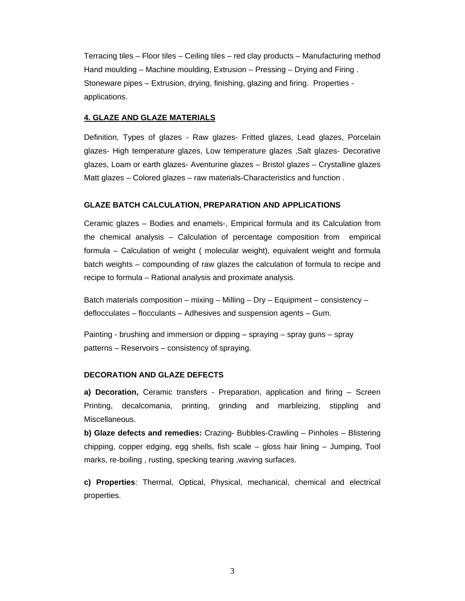Terracing tiles – Floor tiles – Ceiling tiles – red clay products – Manufacturing method Hand moulding – Machine moulding, Extrusion – Pressing – Drying and Firing . Stoneware pipes – Extrusion, drying, finishing, glazing and firing. Properties applications.

#### **4. GLAZE AND GLAZE MATERIALS**

Definition, Types of glazes - Raw glazes- Fritted glazes, Lead glazes, Porcelain glazes- High temperature glazes, Low temperature glazes ,Salt glazes- Decorative glazes, Loam or earth glazes- Aventurine glazes – Bristol glazes – Crystalline glazes Matt glazes – Colored glazes – raw materials-Characteristics and function .

#### **GLAZE BATCH CALCULATION, PREPARATION AND APPLICATIONS**

Ceramic glazes – Bodies and enamels-, Empirical formula and its Calculation from the chemical analysis – Calculation of percentage composition from empirical formula – Calculation of weight ( molecular weight), equivalent weight and formula batch weights – compounding of raw glazes the calculation of formula to recipe and recipe to formula – Rational analysis and proximate analysis.

Batch materials composition – mixing – Milling – Dry – Equipment – consistency – deflocculates – flocculants – Adhesives and suspension agents – Gum.

Painting - brushing and immersion or dipping – spraying – spray guns – spray patterns – Reservoirs – consistency of spraying.

#### **DECORATION AND GLAZE DEFECTS**

**a) Decoration,** Ceramic transfers - Preparation, application and firing – Screen Printing, decalcomania, printing, grinding and marbleizing, stippling and Miscellaneous.

**b) Glaze defects and remedies:** Crazing- Bubbles-Crawling – Pinholes – Blistering chipping, copper edging, egg shells, fish scale – gloss hair lining – Jumping, Tool marks, re-boiling , rusting, specking tearing ,waving surfaces.

**c) Properties**: Thermal, Optical, Physical, mechanical, chemical and electrical properties.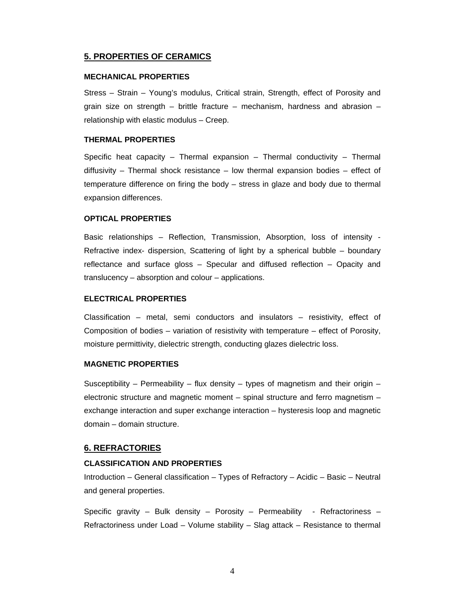# **5. PROPERTIES OF CERAMICS**

### **MECHANICAL PROPERTIES**

Stress – Strain – Young's modulus, Critical strain, Strength, effect of Porosity and grain size on strength – brittle fracture – mechanism, hardness and abrasion – relationship with elastic modulus – Creep.

### **THERMAL PROPERTIES**

Specific heat capacity – Thermal expansion – Thermal conductivity – Thermal diffusivity – Thermal shock resistance – low thermal expansion bodies – effect of temperature difference on firing the body – stress in glaze and body due to thermal expansion differences.

### **OPTICAL PROPERTIES**

Basic relationships – Reflection, Transmission, Absorption, loss of intensity - Refractive index- dispersion, Scattering of light by a spherical bubble – boundary reflectance and surface gloss – Specular and diffused reflection – Opacity and translucency – absorption and colour – applications.

#### **ELECTRICAL PROPERTIES**

Classification – metal, semi conductors and insulators – resistivity, effect of Composition of bodies – variation of resistivity with temperature – effect of Porosity, moisture permittivity, dielectric strength, conducting glazes dielectric loss.

### **MAGNETIC PROPERTIES**

Susceptibility – Permeability – flux density – types of magnetism and their origin – electronic structure and magnetic moment – spinal structure and ferro magnetism – exchange interaction and super exchange interaction – hysteresis loop and magnetic domain – domain structure.

### **6. REFRACTORIES**

#### **CLASSIFICATION AND PROPERTIES**

Introduction – General classification – Types of Refractory – Acidic – Basic – Neutral and general properties.

Specific gravity – Bulk density – Porosity – Permeability - Refractoriness – Refractoriness under Load – Volume stability – Slag attack – Resistance to thermal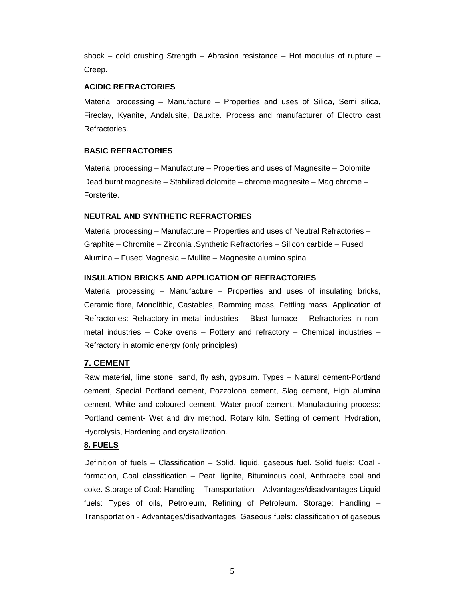shock – cold crushing Strength – Abrasion resistance – Hot modulus of rupture – Creep.

### **ACIDIC REFRACTORIES**

Material processing – Manufacture – Properties and uses of Silica, Semi silica, Fireclay, Kyanite, Andalusite, Bauxite. Process and manufacturer of Electro cast Refractories.

# **BASIC REFRACTORIES**

Material processing – Manufacture – Properties and uses of Magnesite – Dolomite Dead burnt magnesite – Stabilized dolomite – chrome magnesite – Mag chrome – Forsterite.

### **NEUTRAL AND SYNTHETIC REFRACTORIES**

Material processing – Manufacture – Properties and uses of Neutral Refractories – Graphite – Chromite – Zirconia .Synthetic Refractories – Silicon carbide – Fused Alumina – Fused Magnesia – Mullite – Magnesite alumino spinal.

# **INSULATION BRICKS AND APPLICATION OF REFRACTORIES**

Material processing – Manufacture – Properties and uses of insulating bricks, Ceramic fibre, Monolithic, Castables, Ramming mass, Fettling mass. Application of Refractories: Refractory in metal industries – Blast furnace – Refractories in nonmetal industries – Coke ovens – Pottery and refractory – Chemical industries – Refractory in atomic energy (only principles)

# **7. CEMENT**

Raw material, lime stone, sand, fly ash, gypsum. Types – Natural cement-Portland cement, Special Portland cement, Pozzolona cement, Slag cement, High alumina cement, White and coloured cement, Water proof cement. Manufacturing process: Portland cement- Wet and dry method. Rotary kiln. Setting of cement: Hydration, Hydrolysis, Hardening and crystallization.

# **8. FUELS**

Definition of fuels – Classification – Solid, liquid, gaseous fuel. Solid fuels: Coal formation, Coal classification – Peat, lignite, Bituminous coal, Anthracite coal and coke. Storage of Coal: Handling – Transportation – Advantages/disadvantages Liquid fuels: Types of oils, Petroleum, Refining of Petroleum. Storage: Handling – Transportation - Advantages/disadvantages. Gaseous fuels: classification of gaseous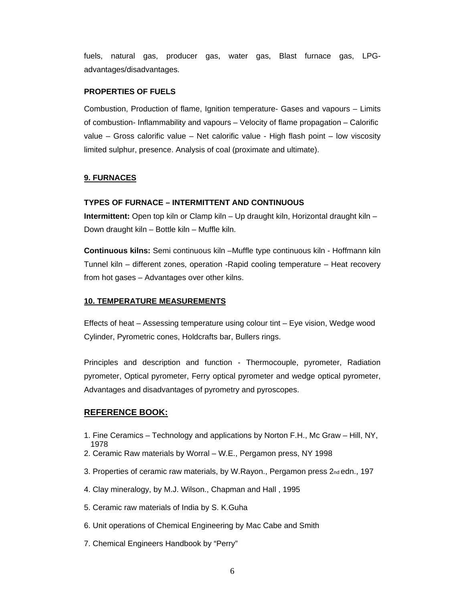fuels, natural gas, producer gas, water gas, Blast furnace gas, LPGadvantages/disadvantages.

#### **PROPERTIES OF FUELS**

Combustion, Production of flame, Ignition temperature- Gases and vapours – Limits of combustion- Inflammability and vapours – Velocity of flame propagation – Calorific value – Gross calorific value – Net calorific value - High flash point – low viscosity limited sulphur, presence. Analysis of coal (proximate and ultimate).

### **9. FURNACES**

#### **TYPES OF FURNACE – INTERMITTENT AND CONTINUOUS**

**Intermittent:** Open top kiln or Clamp kiln – Up draught kiln, Horizontal draught kiln – Down draught kiln – Bottle kiln – Muffle kiln.

**Continuous kilns:** Semi continuous kiln –Muffle type continuous kiln - Hoffmann kiln Tunnel kiln – different zones, operation -Rapid cooling temperature – Heat recovery from hot gases – Advantages over other kilns.

#### **10. TEMPERATURE MEASUREMENTS**

Effects of heat – Assessing temperature using colour tint – Eye vision, Wedge wood Cylinder, Pyrometric cones, Holdcrafts bar, Bullers rings.

Principles and description and function - Thermocouple, pyrometer, Radiation pyrometer, Optical pyrometer, Ferry optical pyrometer and wedge optical pyrometer, Advantages and disadvantages of pyrometry and pyroscopes.

### **REFERENCE BOOK:**

- 1. Fine Ceramics Technology and applications by Norton F.H., Mc Graw Hill, NY, 1978
- 2. Ceramic Raw materials by Worral W.E., Pergamon press, NY 1998
- 3. Properties of ceramic raw materials, by W.Rayon., Pergamon press 2<sub>nd</sub> edn., 197
- 4. Clay mineralogy, by M.J. Wilson., Chapman and Hall , 1995
- 5. Ceramic raw materials of India by S. K.Guha
- 6. Unit operations of Chemical Engineering by Mac Cabe and Smith
- 7. Chemical Engineers Handbook by "Perry"